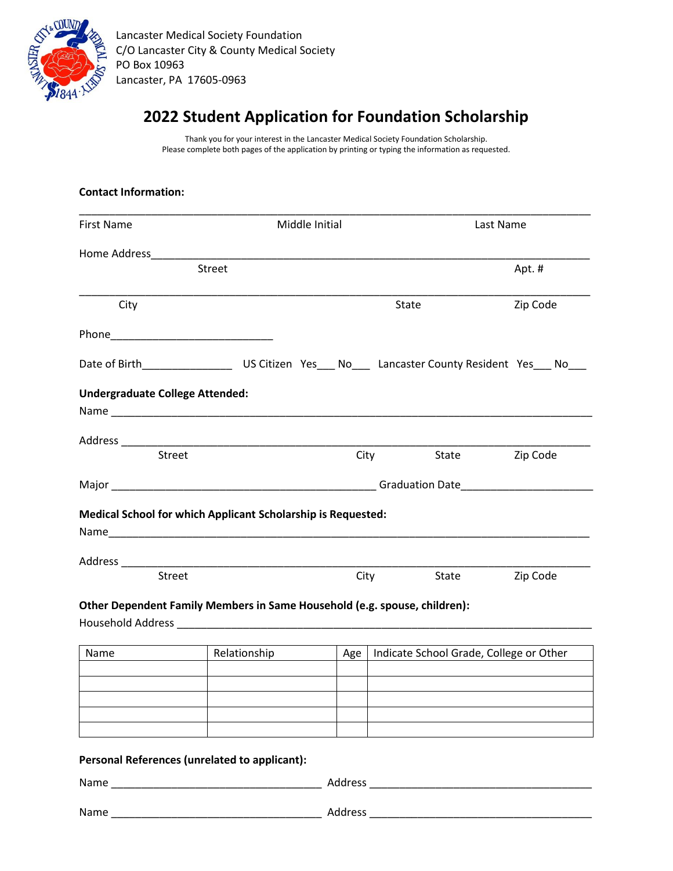

Lancaster Medical Society Foundation C/O Lancaster City & County Medical Society PO Box 10963 Lancaster, PA 17605-0963

# **2022 Student Application for Foundation Scholarship**

Thank you for your interest in the Lancaster Medical Society Foundation Scholarship. Please complete both pages of the application by printing or typing the information as requested.

| <b>Contact Information:</b>            |                                                                                                       |                |                                         |           |  |
|----------------------------------------|-------------------------------------------------------------------------------------------------------|----------------|-----------------------------------------|-----------|--|
| <b>First Name</b>                      |                                                                                                       | Middle Initial |                                         | Last Name |  |
|                                        |                                                                                                       |                |                                         |           |  |
|                                        | Street                                                                                                |                |                                         | Apt.#     |  |
| City                                   |                                                                                                       |                | State                                   | Zip Code  |  |
|                                        |                                                                                                       |                |                                         |           |  |
|                                        | Date of Birth______________________US Citizen Yes____ No_____ Lancaster County Resident Yes____ No___ |                |                                         |           |  |
| <b>Undergraduate College Attended:</b> |                                                                                                       |                |                                         |           |  |
|                                        |                                                                                                       |                |                                         |           |  |
|                                        |                                                                                                       |                |                                         |           |  |
| <b>Street</b>                          |                                                                                                       | City           | State                                   | Zip Code  |  |
|                                        |                                                                                                       |                |                                         |           |  |
|                                        |                                                                                                       |                |                                         |           |  |
| <b>Street</b>                          |                                                                                                       |                | City<br>State                           | Zip Code  |  |
|                                        | Other Dependent Family Members in Same Household (e.g. spouse, children):                             |                |                                         |           |  |
|                                        |                                                                                                       |                |                                         |           |  |
|                                        |                                                                                                       |                |                                         |           |  |
| Name                                   | Relationship                                                                                          | Age            | Indicate School Grade, College or Other |           |  |
|                                        |                                                                                                       |                |                                         |           |  |
|                                        |                                                                                                       |                |                                         |           |  |
|                                        |                                                                                                       |                |                                         |           |  |
|                                        |                                                                                                       |                |                                         |           |  |
|                                        | Personal References (unrelated to applicant):                                                         |                |                                         |           |  |
|                                        |                                                                                                       |                |                                         |           |  |
|                                        |                                                                                                       |                |                                         |           |  |